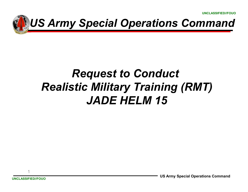

### *Request to Conduct Realistic Military Training (RMT)JADE HELM 15*

1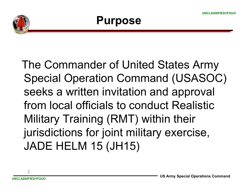

#### **Purpose**

The Commander of United States Army Special Operation Command (USASOC) seeks a written invitation and approval from local officials to conduct Realistic Military Training (RMT) within their jurisdictions for joint military exercise, JADE HELM 15 (JH15)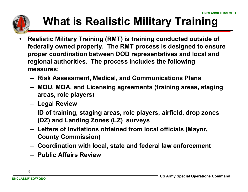

# **What is Realistic Military Training**

- • **Realistic Military Training (RMT) is training conducted outside of federally owned property. The RMT process is designed to ensure proper coordination between DOD representatives and local and regional authorities. The process includes the following measures:**
	- –**Risk Assessment, Medical, and Communications Plans**
	- – **MOU, MOA, and Licensing agreements (training areas, staging areas, role players)**
	- –**Legal Review**
	- $-$  ID of trainin **ID of training, staging areas, role players, airfield, drop zones (DZ) and Landing Zones (LZ) surveys**
	- – **Letters of Invitations obtained from local officials (Mayor, County Commission)**
	- –**Coordination with local, state and federal law enforcement**
	- –**Public Affairs Review**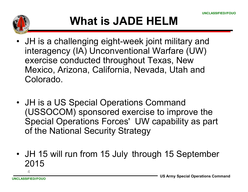

## **What is JADE HELM**

- JH is a challenging eight-week joint military and<br>interagoney (IA) Unconventional Warfare (UW) interagency (IA) Unconventional Warfare (UW) exercise conducted throughout Texas, New Mexico, Arizona, California, Nevada, Utah and Colorado.
- JH is a US Special Operations Command<br>CUSSOCOM) speasered exercise to impre (USSOCOM) sponsored exercise to improve the Special Operations Forces' UW capability as part of the National Security Strategy
- JH 15 will run from 15 July through 15 September<br>2015 2015

4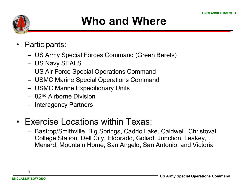

### **Who and Where**

- • Participants:
	- US Army Special Forces Command (Green Berets)
	- US Navy SEALS
	- US Air Force Special Operations Command
	- USMC Marine Special Operations Command
	- USMC Marine Expeditionary Units
	- 82<sup>nd</sup> Airborne Division
	- Interagency Partners
- Exercise Locations within Texas:
	- Bastrop/Smithville, Big Springs, Caddo Lake, Caldwell, Christoval, College Station, Dell City, Eldorado, Goliad, Junction, Leakey, Menard, Mountain Home, San Angelo, San Antonio, and Victoria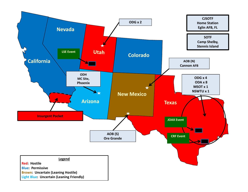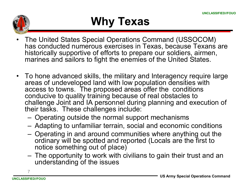

## **Why Texas**

- • The United States Special Operations Command (USSOCOM) has conducted numerous exercises in Texas, because Texans are historically supportive of efforts to prepare our soldiers, airmen, marines and sailors to fight the enemies of the United States.
- To hone advanced skills, the military and Interagency require large<br>areas of undeveloped land with low population densities with areas of undeveloped land with low population densities with access to towns. The proposed areas offer the conditions conducive to quality training because of real obstacles to challenge Joint and IA personnel during planning and execution of their tasks. These challenges include:
	- Operating outside the normal support mechanisms
	- Adapting to unfamiliar terrain, social and economic conditions
	- Operating in and around communities where anything out the ordinary will be spotted and reported (I ocals are the first to ordinary will be spotted and reported (Locals are the first to notice something out of place)
	- The opportunity to work with civilians to gain their trust and an understanding of the issues understanding of the issues

7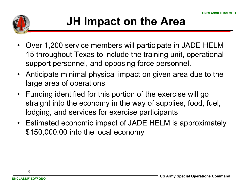

- Over 1,200 service members will participate in JADE HELM<br>45 throughout Toyce to include the training unit, energianal 15 throughout Texas to include the training unit, operational support personnel, and opposing force personnel.
- Anticipate minimal physical impact on given area due to the large area of operations
- • Funding identified for this portion of the exercise will go straight into the economy in the way of supplies, food, fuel, lodging, and services for exercise participants
- Estimated economic impact of JADE HELM is approximately<br>
fia E0.000.00 into the least essence: \$150,000.00 into the local economy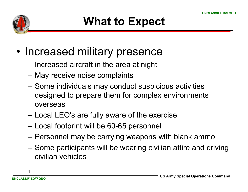

- • Increased military presence
	- Increased aircraft in the area at night
	- May receive noise complaints
	- Some individuals may conduct suspicious activities designed to prepare them for complex environments overseas
	- Local LEO's are fully aware of the exercise
	- Local footprint will be 60-65 personnel
	- Personnel may be carrying weapons with blank ammo
	- Some participants will be wearing civilian attire and driving<br>siglical vabiales civilian vehicles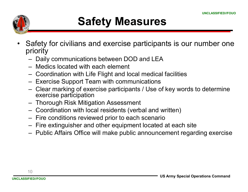

- • Safety for civilians and exercise participants is our number one priority
	- Dai Daily communications between DOD and LEA
	- –Medics located with each element
	- –Coordination with Life Flight and local medical facilities
	- –Exercise Support Team with communications
	- –Clear marking of exercise participants / Use of key words to determine<br>exercise participation exercise participation
	- –Thorough Risk Mitigation Assessment
	- –Coordination with local residents (verbal and written)
	- –Fire conditions reviewed prior to each scenario
	- –Fire extinguisher and other equipment located at each site<br>Rublic Affaire Office will real a mublic experiment reason
	- –Public Affairs Office will make public announcement regarding exercise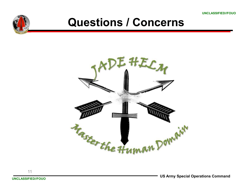**UNCLASSIFIED//FOUO**



#### **Questions / Concerns**